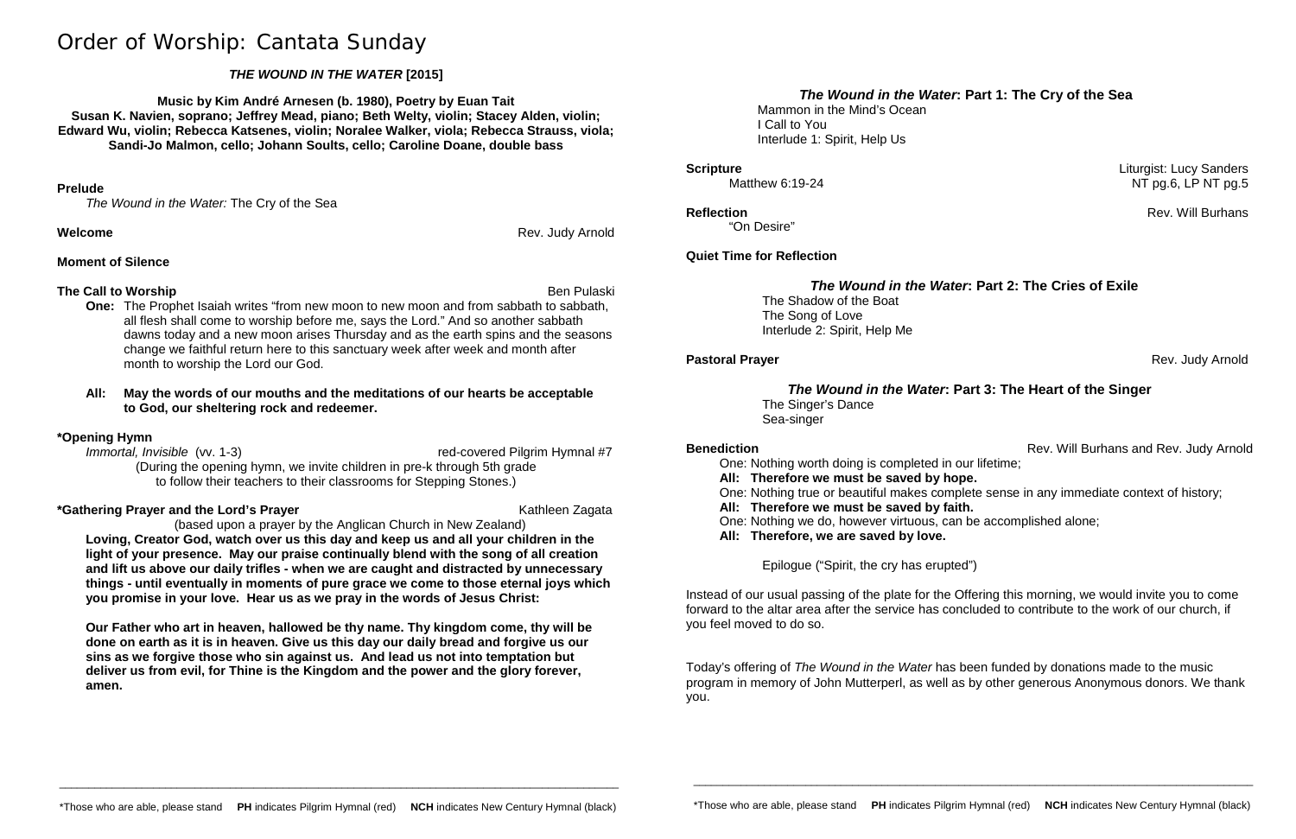# Order of Worship: Cantata Sunday

# *THE WOUND IN THE WATER* **[2015]**

**Music by Kim André Arnesen (b. 1980), Poetry by Euan Tait Susan K. Navien, soprano; Jeffrey Mead, piano; Beth Welty, violin; Stacey Alden, violin; Edward Wu, violin; Rebecca Katsenes, violin; Noralee Walker, viola; Rebecca Strauss, viola; Sandi-Jo Malmon, cello; Johann Soults, cello; Caroline Doane, double bass**

### **Prelude**

*The Wound in the Water:* The Cry of the Sea

## **Welcome** Rev. Judy Arnold Rev. Judy Arnold

**One:** The Prophet Isaiah writes "from new moon to new moon and from sabbath to sabbath, all flesh shall come to worship before me, says the Lord." And so another sabbath dawns today and a new moon arises Thursday and as the earth spins and the seasons change we faithful return here to this sanctuary week after week and month after month to worship the Lord our God.

# **Moment of Silence**

# **The Call to Worship** Ben Pulaski

*Immortal, Invisible* (vv. 1-3) *Immortal, Invisible* (vv. 1-3) (During the opening hymn, we invite children in pre-k through 5th grade to follow their teachers to their classrooms for Stepping Stones.)

## **All: May the words of our mouths and the meditations of our hearts be acceptable to God, our sheltering rock and redeemer.**

# **\*Opening Hymn**

# **\*Gathering Prayer and the Lord's Prayer** Kathleen Zagata

# (based upon a prayer by the Anglican Church in New Zealand)

**Loving, Creator God, watch over us this day and keep us and all your children in the light of your presence. May our praise continually blend with the song of all creation and lift us above our daily trifles - when we are caught and distracted by unnecessary things - until eventually in moments of pure grace we come to those eternal joys which you promise in your love. Hear us as we pray in the words of Jesus Christ:**

**Our Father who art in heaven, hallowed be thy name. Thy kingdom come, thy will be done on earth as it is in heaven. Give us this day our daily bread and forgive us our sins as we forgive those who sin against us. And lead us not into temptation but deliver us from evil, for Thine is the Kingdom and the power and the glory forever, amen.**

# *The Wound in the Water***: Part 1: The Cry of the Sea**

Mammon in the Mind's Ocean I Call to You Interlude 1: Spirit, Help Us

"On Desire"

# **Quiet Time for Reflection**

# *The Wound in the Water***: Part 2: The Cries of Exile**

The Shadow of the Boat The Song of Love Interlude 2: Spirit, Help Me

# *The Wound in the Water***: Part 3: The Heart of the Singer**

The Singer's Dance Sea-singer

One: Nothing worth doing is completed in our lifetime; **All: Therefore we must be saved by hope.** One: Nothing true or beautiful makes complete sense in any immediate context of history; **All: Therefore we must be saved by faith.** One: Nothing we do, however virtuous, can be accomplished alone; **All: Therefore, we are saved by love.**

Epilogue ("Spirit, the cry has erupted")

Instead of our usual passing of the plate for the Offering this morning, we would invite you to come forward to the altar area after the service has concluded to contribute to the work of our church, if you feel moved to do so.

Today's offering of *The Wound in the Water* has been funded by donations made to the music program in memory of John Mutterperl, as well as by other generous Anonymous donors. We thank you.

\_\_\_\_\_\_\_\_\_\_\_\_\_\_\_\_\_\_\_\_\_\_\_\_\_\_\_\_\_\_\_\_\_\_\_\_\_\_\_\_\_\_\_\_\_\_\_\_\_\_\_\_\_\_\_\_\_\_\_\_\_\_\_\_\_\_\_\_\_\_\_\_\_\_\_\_\_\_\_\_\_\_\_\_\_\_\_\_\_\_\_\_\_\_\_

**Scripture** Liturgist: Lucy Sanders<br>Matthew 6:19-24 Matthew 6:19-24 Matthew 6:19-24 Matthew 6:19-24  $NT$  pg.6, LP NT pg.5

**Reflection** Rev. Will Burhans

**Pastoral Prayer** Rev. Judy Arnold

**Benediction Benediction Rev.** Will Burhans and Rev. Judy Arnold

\_\_\_\_\_\_\_\_\_\_\_\_\_\_\_\_\_\_\_\_\_\_\_\_\_\_\_\_\_\_\_\_\_\_\_\_\_\_\_\_\_\_\_\_\_\_\_\_\_\_\_\_\_\_\_\_\_\_\_\_\_\_\_\_\_\_\_\_\_\_\_\_\_\_\_\_\_\_\_\_\_\_\_\_\_\_\_\_\_\_\_\_\_\_\_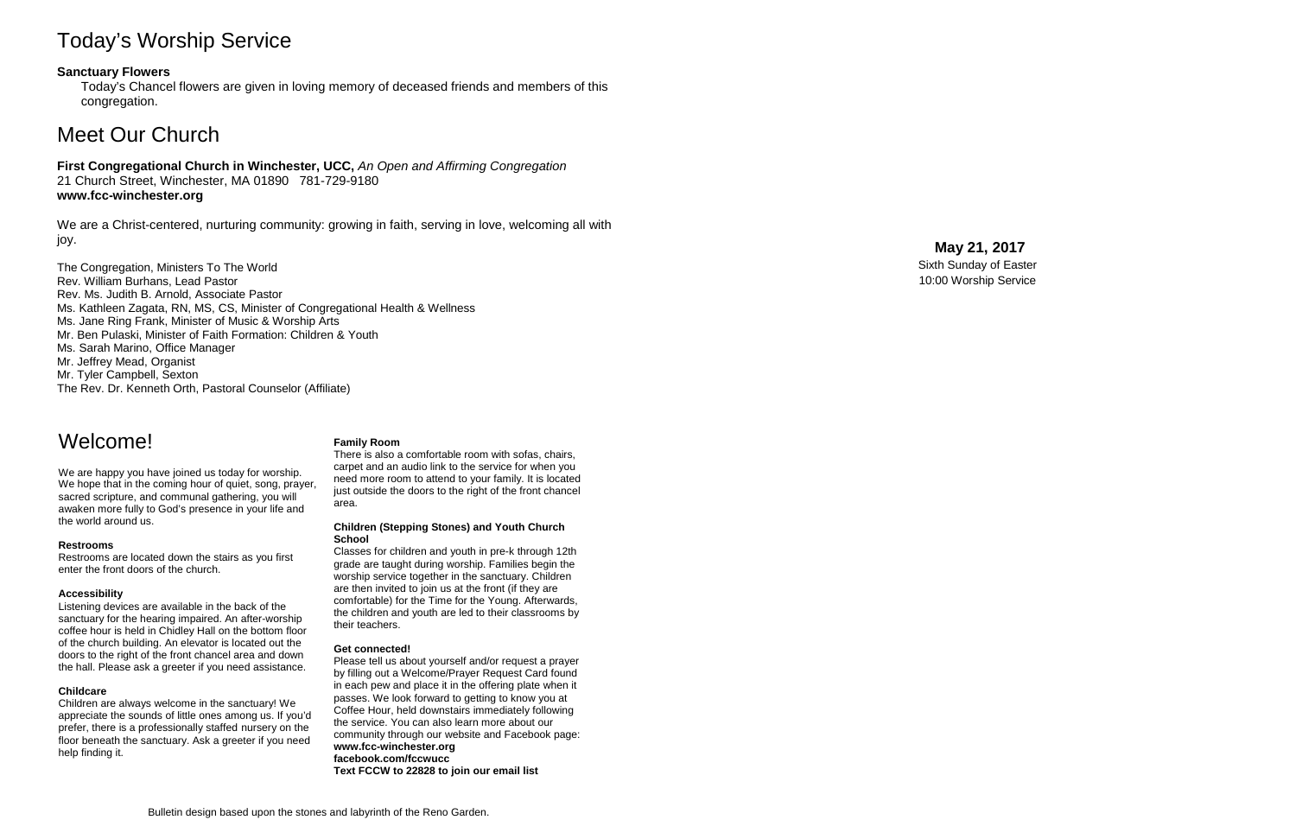# Today's Worship Service

## **Sanctuary Flowers**

Today's Chancel flowers are given in loving memory of deceased friends and members of this congregation.

# Meet Our Church

## **First Congregational Church in Winchester, UCC,** *An Open and Affirming Congregation* 21 Church Street, Winchester, MA 01890 781 -729 -9180 **www.fcc -winchester.org**

We are a Christ -centered, nurturing community: growing in faith, serving in love, welcoming all with joy.

The Congregation, Ministers To The World Rev. William Burhans, Lead Pastor Rev. Ms. Judith B. Arnold, Associate Pastor Ms. Kathleen Zagata, RN, MS, CS, Minister of Congregational Health & Wellness Ms. Jane Ring Frank, Minister of Music & Worship Arts Mr. Ben Pulaski, Minister of Faith Formation: Children & Youth Ms. Sarah Marino, Office Manager Mr. Jeffrey Mead, Organist Mr. Tyler Campbell, Sexton The Rev. Dr. Kenneth Orth, Pastoral Counselor (Affiliate)

**May 21 , 2017** Sixth Sunday of Easter 10:00 Worship Service

# Welcome!

We are happy you have joined us today for worship. We hope that in the coming hour of quiet, song, prayer, sacred scripture, and communal gathering, you will awaken more fully to God's presence in your life and the world around us.

### **Restrooms**

Restrooms are located down the stairs as you first enter the front doors of the church.

### **Accessibility**

Listening devices are available in the back of the sanctuary for the hearing impaired. An after -worship coffee hour is held in Chidley Hall on the bottom floor of the church building. An elevator is located out the doors to the right of the front chancel area and down the hall. Please ask a greeter if you need assistance.

### **Childcare**

Children are always welcome in the sanctuary! We appreciate the sounds of little ones among us. If you'd prefer, there is a professionally staffed nursery on the floor beneath the sanctuary. Ask a greeter if you need help finding it.

### **Family Room**

There is also a comfortable room with sofas, chairs, carpet and an audio link to the service for when you need more room to attend to your family. It is located just outside the doors to the right of the front chancel area.

#### **Children (Stepping Stones) and Youth Church School**

Classes for children and youth in pre -k through 12th grade are taught during worship. Families begin the worship service together in the sanctuary. Children are then invited to join us at the front (if they are comfortable) for the Time for the Young. Afterwards, the children and youth are led to their classrooms by their teachers.

### **Get connected!**

Please tell us about yourself and/or request a prayer by filling out a Welcome/Prayer Request Card found in each pew and place it in the offering plate when it passes. We look forward to getting to know you at Coffee Hour, held downstairs immediately following the service. You can also learn more about our community through our website and Facebook page: **www.fcc -winchester.org facebook.com/fccwucc Text FCCW to 22828 to join our email list**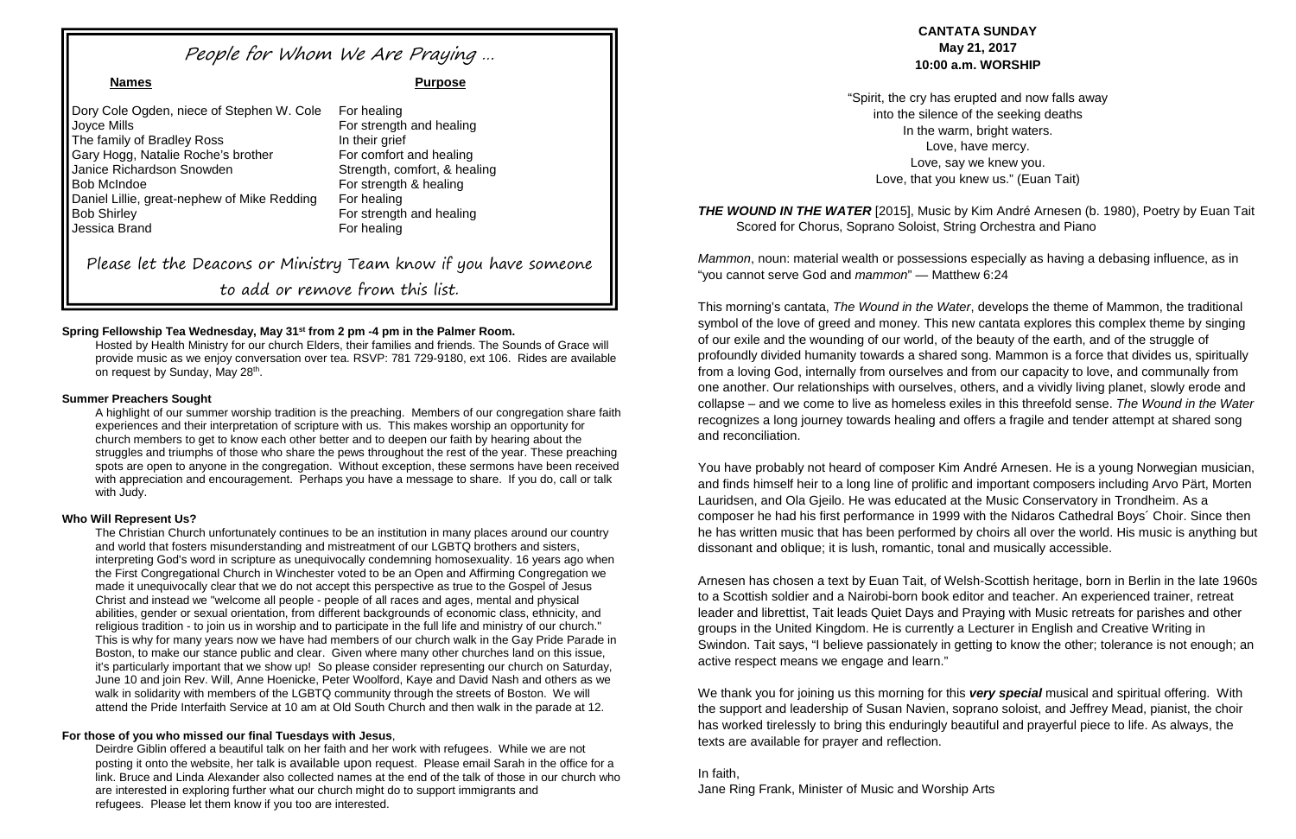### **Spring Fellowship Tea Wednesday, May 31st from 2 pm -4 pm in the Palmer Room.**

Hosted by Health Ministry for our church Elders, their families and friends. The Sounds of Grace will provide music as we enjoy conversation over tea. RSVP: 781 729-9180, ext 106. Rides are available on request by Sunday, May 28<sup>th</sup>.

#### **Summer Preachers Sought**

A highlight of our summer worship tradition is the preaching. Members of our congregation share faith experiences and their interpretation of scripture with us. This makes worship an opportunity for church members to get to know each other better and to deepen our faith by hearing about the struggles and triumphs of those who share the pews throughout the rest of the year. These preaching spots are open to anyone in the congregation. Without exception, these sermons have been received with appreciation and encouragement. Perhaps you have a message to share. If you do, call or talk with Judy.

#### **Who Will Represent Us?**

**THE WOUND IN THE WATER** [2015], Music by Kim André Arnesen (b. 1980), Poetry by Euan Tait Scored for Chorus, Soprano Soloist, String Orchestra and Piano

The Christian Church unfortunately continues to be an institution in many places around our country and world that fosters misunderstanding and mistreatment of our LGBTQ brothers and sisters, interpreting God's word in scripture as unequivocally condemning homosexuality. 16 years ago when the First Congregational Church in Winchester voted to be an Open and Affirming Congregation we made it unequivocally clear that we do not accept this perspective as true to the Gospel of Jesus Christ and instead we "welcome all people - people of all races and ages, mental and physical abilities, gender or sexual orientation, from different backgrounds of economic class, ethnicity, and religious tradition - to join us in worship and to participate in the full life and ministry of our church." This is why for many years now we have had members of our church walk in the Gay Pride Parade in Boston, to make our stance public and clear. Given where many other churches land on this issue, it's particularly important that we show up! So please consider representing our church on Saturday, June 10 and join Rev. Will, Anne Hoenicke, Peter Woolford, Kaye and David Nash and others as we walk in solidarity with members of the LGBTQ community through the streets of Boston. We will attend the Pride Interfaith Service at 10 am at Old South Church and then walk in the parade at 12.

### **For those of you who missed our final Tuesdays with Jesus**,

Deirdre Giblin offered a beautiful talk on her faith and her work with refugees. While we are not posting it onto the website, her talk is available upon request. Please email Sarah in the office for a link. Bruce and Linda Alexander also collected names at the end of the talk of those in our church who are interested in exploring further what our church might do to support immigrants and refugees. Please let them know if you too are interested.

Dory Cole Ogden, niece of Stephen W. Cole For healing Joyce Mills For strength and healing The family of Bradley Ross In their grief Gary Hogg, Natalie Roche's brother For comfort and healing Janice Richardson Snowden Strength, comfort, & healing Bob McIndoe **For strength & healing** Daniel Lillie, great-nephew of Mike Redding For healing Bob Shirley **For strength and healing** Jessica Brand For healing

# **CANTATA SUNDAY May 21, 2017 10:00 a.m. WORSHIP**

"Spirit, the cry has erupted and now falls away into the silence of the seeking deaths In the warm, bright waters. Love, have mercy. Love, say we knew you. Love, that you knew us." (Euan Tait)

*Mammon*, noun: material wealth or possessions especially as having a debasing influence, as in "you cannot serve God and *mammon*" — Matthew 6:24

This morning's cantata, *The Wound in the Water*, develops the theme of Mammon, the traditional symbol of the love of greed and money. This new cantata explores this complex theme by singing of our exile and the wounding of our world, of the beauty of the earth, and of the struggle of profoundly divided humanity towards a shared song. Mammon is a force that divides us, spiritually from a loving God, internally from ourselves and from our capacity to love, and communally from one another. Our relationships with ourselves, others, and a vividly living planet, slowly erode and collapse – and we come to live as homeless exiles in this threefold sense. *The Wound in the Water* recognizes a long journey towards healing and offers a fragile and tender attempt at shared song and reconciliation.

You have probably not heard of composer Kim André Arnesen. He is a young Norwegian musician, and finds himself heir to a long line of prolific and important composers including Arvo Pärt, Morten Lauridsen, and Ola Gjeilo. He was educated at the Music Conservatory in Trondheim. As a composer he had his first performance in 1999 with the Nidaros Cathedral Boys´ Choir. Since then he has written music that has been performed by choirs all over the world. His music is anything but dissonant and oblique; it is lush, romantic, tonal and musically accessible.

Arnesen has chosen a text by Euan Tait, of Welsh-Scottish heritage, born in Berlin in the late 1960s to a Scottish soldier and a Nairobi-born book editor and teacher. An experienced trainer, retreat leader and librettist, Tait leads Quiet Days and Praying with Music retreats for parishes and other groups in the United Kingdom. He is currently a Lecturer in English and Creative Writing in Swindon. Tait says, "I believe passionately in getting to know the other; tolerance is not enough; an active respect means we engage and learn."

We thank you for joining us this morning for this *very special* musical and spiritual offering. With the support and leadership of Susan Navien, soprano soloist, and Jeffrey Mead, pianist, the choir has worked tirelessly to bring this enduringly beautiful and prayerful piece to life. As always, the texts are available for prayer and reflection.

#### In faith,

Jane Ring Frank, Minister of Music and Worship Arts

# People for Whom We Are Praying …

**Names Purpose**

Please let the Deacons or Ministry Team know if you have someone to add or remove from this list.